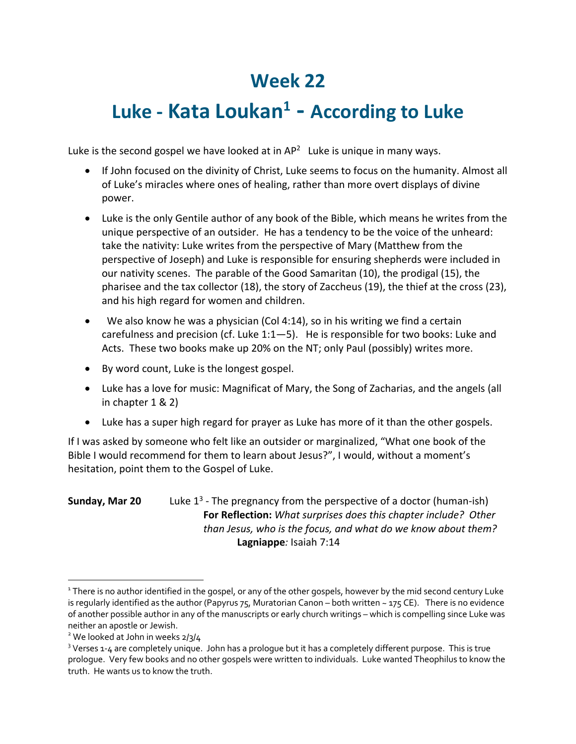## **Week 22**

## **Luke - Kata Loukan1 - According to Luke**

Luke is the second gospel we have looked at in  $AP<sup>2</sup>$  Luke is unique in many ways.

- If John focused on the divinity of Christ, Luke seems to focus on the humanity. Almost all of Luke's miracles where ones of healing, rather than more overt displays of divine power.
- Luke is the only Gentile author of any book of the Bible, which means he writes from the unique perspective of an outsider. He has a tendency to be the voice of the unheard: take the nativity: Luke writes from the perspective of Mary (Matthew from the perspective of Joseph) and Luke is responsible for ensuring shepherds were included in our nativity scenes. The parable of the Good Samaritan (10), the prodigal (15), the pharisee and the tax collector (18), the story of Zaccheus (19), the thief at the cross (23), and his high regard for women and children.
- We also know he was a physician (Col 4:14), so in his writing we find a certain carefulness and precision (cf. Luke 1:1—5). He is responsible for two books: Luke and Acts. These two books make up 20% on the NT; only Paul (possibly) writes more.
- By word count, Luke is the longest gospel.
- Luke has a love for music: Magnificat of Mary, the Song of Zacharias, and the angels (all in chapter 1 & 2)
- Luke has a super high regard for prayer as Luke has more of it than the other gospels.

If I was asked by someone who felt like an outsider or marginalized, "What one book of the Bible I would recommend for them to learn about Jesus?", I would, without a moment's hesitation, point them to the Gospel of Luke.

## **Sunday, Mar 20** Luke 1<sup>3</sup> - The pregnancy from the perspective of a doctor (human-ish) **For Reflection:** *What surprises does this chapter include? Other than Jesus, who is the focus, and what do we know about them?* **Lagniappe***:* Isaiah 7:14

<sup>&</sup>lt;sup>1</sup> There is no author identified in the gospel, or any of the other gospels, however by the mid second century Luke is regularly identified as the author (Papyrus 75, Muratorian Canon – both written  $\sim$  175 CE). There is no evidence of another possible author in any of the manuscripts or early church writings – which is compelling since Luke was neither an apostle or Jewish.

<sup>&</sup>lt;sup>2</sup> We looked at John in weeks 2/3/4

<sup>&</sup>lt;sup>3</sup> Verses 1-4 are completely unique. John has a prologue but it has a completely different purpose. This is true prologue. Very few books and no other gospels were written to individuals. Luke wanted Theophilus to know the truth. He wants us to know the truth.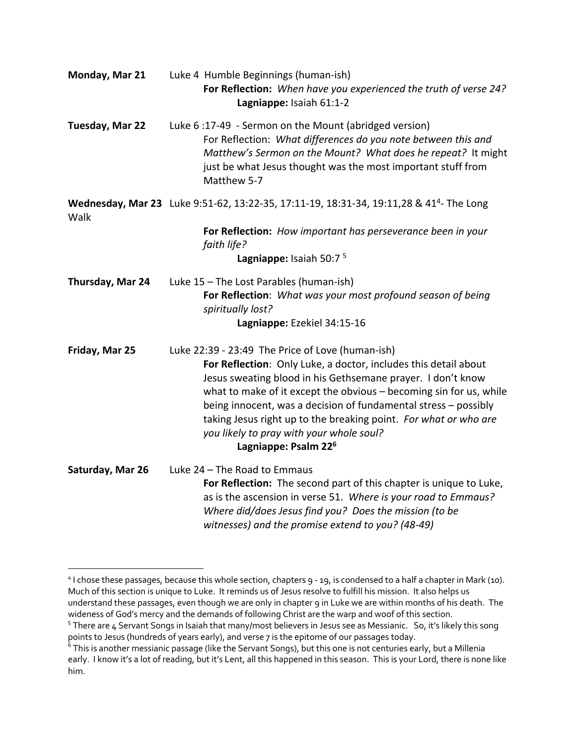| Monday, Mar 21   | Luke 4 Humble Beginnings (human-ish)<br>For Reflection: When have you experienced the truth of verse 24?<br>Lagniappe: Isaiah 61:1-2                                                                                                                                                                                                                                                                                                                                            |
|------------------|---------------------------------------------------------------------------------------------------------------------------------------------------------------------------------------------------------------------------------------------------------------------------------------------------------------------------------------------------------------------------------------------------------------------------------------------------------------------------------|
| Tuesday, Mar 22  | Luke 6:17-49 - Sermon on the Mount (abridged version)<br>For Reflection: What differences do you note between this and<br>Matthew's Sermon on the Mount? What does he repeat? It might<br>just be what Jesus thought was the most important stuff from<br>Matthew 5-7                                                                                                                                                                                                           |
| Walk             | Wednesday, Mar 23 Luke 9:51-62, 13:22-35, 17:11-19, 18:31-34, 19:11,28 & 41 <sup>4</sup> - The Long                                                                                                                                                                                                                                                                                                                                                                             |
|                  | For Reflection: How important has perseverance been in your<br>faith life?<br>Lagniappe: Isaiah 50:7 <sup>5</sup>                                                                                                                                                                                                                                                                                                                                                               |
| Thursday, Mar 24 | Luke 15 - The Lost Parables (human-ish)<br>For Reflection: What was your most profound season of being<br>spiritually lost?<br>Lagniappe: Ezekiel 34:15-16                                                                                                                                                                                                                                                                                                                      |
| Friday, Mar 25   | Luke 22:39 - 23:49 The Price of Love (human-ish)<br>For Reflection: Only Luke, a doctor, includes this detail about<br>Jesus sweating blood in his Gethsemane prayer. I don't know<br>what to make of it except the obvious - becoming sin for us, while<br>being innocent, was a decision of fundamental stress - possibly<br>taking Jesus right up to the breaking point. For what or who are<br>you likely to pray with your whole soul?<br>Lagniappe: Psalm 22 <sup>6</sup> |
| Saturday, Mar 26 | Luke 24 - The Road to Emmaus<br>For Reflection: The second part of this chapter is unique to Luke,<br>as is the ascension in verse 51. Where is your road to Emmaus?<br>Where did/does Jesus find you? Does the mission (to be<br>witnesses) and the promise extend to you? (48-49)                                                                                                                                                                                             |

<sup>&</sup>lt;sup>4</sup> I chose these passages, because this whole section, chapters 9 - 19, is condensed to a half a chapter in Mark (10). Much of this section is unique to Luke. It reminds us of Jesus resolve to fulfill his mission. It also helps us understand these passages, even though we are only in chapter 9 in Luke we are within months of his death. The wideness of God's mercy and the demands of following Christ are the warp and woof of this section.

<sup>&</sup>lt;sup>5</sup> There are 4 Servant Songs in Isaiah that many/most believers in Jesus see as Messianic. So, it's likely this song points to Jesus (hundreds of years early), and verse 7 is the epitome of our passages today.

<sup>&</sup>lt;sup>6</sup> This is another messianic passage (like the Servant Songs), but this one is not centuries early, but a Millenia early. I know it's a lot of reading, but it's Lent, all this happened in this season. This is your Lord, there is none like him.